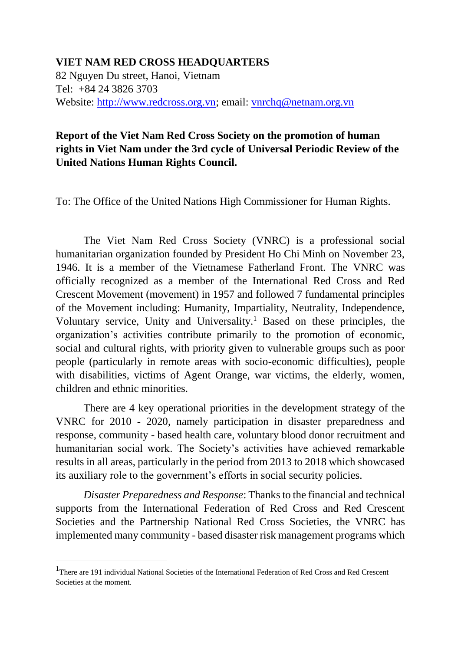## **VIET NAM RED CROSS HEADQUARTERS**

82 Nguyen Du street, Hanoi, Vietnam Tel: +84 24 3826 3703 Website: [http://www.redcross.org.vn;](http://www.redcross.org.vn/) email: [vnrchq@netnam.org.vn](mailto:vnrchq@netnam.org.vn)

## **Report of the Viet Nam Red Cross Society on the promotion of human rights in Viet Nam under the 3rd cycle of Universal Periodic Review of the United Nations Human Rights Council.**

To: The Office of the United Nations High Commissioner for Human Rights.

The Viet Nam Red Cross Society (VNRC) is a professional social humanitarian organization founded by President Ho Chi Minh on November 23, 1946. It is a member of the Vietnamese Fatherland Front. The VNRC was officially recognized as a member of the International Red Cross and Red Crescent Movement (movement) in 1957 and followed 7 fundamental principles of the Movement including: Humanity, Impartiality, Neutrality, Independence, Voluntary service, Unity and Universality.<sup>1</sup> Based on these principles, the organization's activities contribute primarily to the promotion of economic, social and cultural rights, with priority given to vulnerable groups such as poor people (particularly in remote areas with socio-economic difficulties), people with disabilities, victims of Agent Orange, war victims, the elderly, women, children and ethnic minorities.

There are 4 key operational priorities in the development strategy of the VNRC for 2010 - 2020, namely participation in disaster preparedness and response, community - based health care, voluntary blood donor recruitment and humanitarian social work. The Society's activities have achieved remarkable results in all areas, particularly in the period from 2013 to 2018 which showcased its auxiliary role to the government's efforts in social security policies.

*Disaster Preparedness and Response*: Thanks to the financial and technical supports from the International Federation of Red Cross and Red Crescent Societies and the Partnership National Red Cross Societies, the VNRC has implemented many community - based disaster risk management programs which

 $\overline{a}$ 

<sup>&</sup>lt;sup>1</sup>There are 191 individual National Societies of the International Federation of Red Cross and Red Crescent Societies at the moment.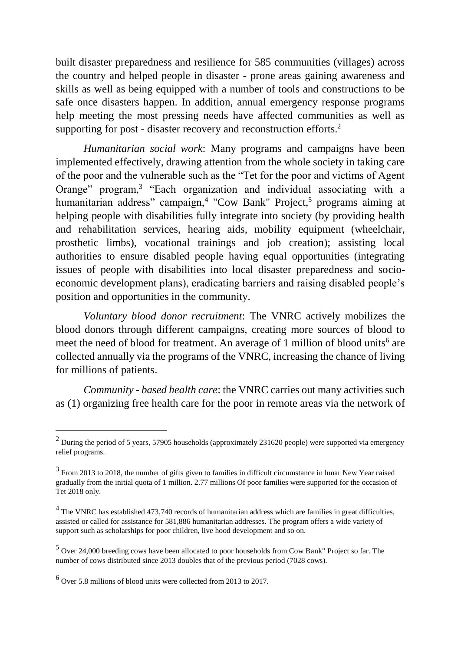built disaster preparedness and resilience for 585 communities (villages) across the country and helped people in disaster - prone areas gaining awareness and skills as well as being equipped with a number of tools and constructions to be safe once disasters happen. In addition, annual emergency response programs help meeting the most pressing needs have affected communities as well as supporting for post - disaster recovery and reconstruction efforts.<sup>2</sup>

*Humanitarian social work*: Many programs and campaigns have been implemented effectively, drawing attention from the whole society in taking care of the poor and the vulnerable such as the "Tet for the poor and victims of Agent Orange" program,<sup>3</sup> "Each organization and individual associating with a humanitarian address" campaign,<sup>4</sup> "Cow Bank" Project,<sup>5</sup> programs aiming at helping people with disabilities fully integrate into society (by providing health and rehabilitation services, hearing aids, mobility equipment (wheelchair, prosthetic limbs), vocational trainings and job creation); assisting local authorities to ensure disabled people having equal opportunities (integrating issues of people with disabilities into local disaster preparedness and socioeconomic development plans), eradicating barriers and raising disabled people's position and opportunities in the community.

*Voluntary blood donor recruitment*: The VNRC actively mobilizes the blood donors through different campaigns, creating more sources of blood to meet the need of blood for treatment. An average of 1 million of blood units<sup>6</sup> are collected annually via the programs of the VNRC, increasing the chance of living for millions of patients.

*Community - based health care*: the VNRC carries out many activities such as (1) organizing free health care for the poor in remote areas via the network of

-

 $^{2}$  During the period of 5 years, 57905 households (approximately 231620 people) were supported via emergency relief programs.

<sup>&</sup>lt;sup>3</sup> From 2013 to 2018, the number of gifts given to families in difficult circumstance in lunar New Year raised gradually from the initial quota of 1 million. 2.77 millions Of poor families were supported for the occasion of Tet 2018 only.

<sup>&</sup>lt;sup>4</sup> The VNRC has established 473,740 records of humanitarian address which are families in great difficulties, assisted or called for assistance for 581,886 humanitarian addresses. The program offers a wide variety of support such as scholarships for poor children, live hood development and so on.

<sup>5</sup> Over 24,000 breeding cows have been allocated to poor households from Cow Bank" Project so far. The number of cows distributed since 2013 doubles that of the previous period (7028 cows).

 $^6$  Over 5.8 millions of blood units were collected from 2013 to 2017.